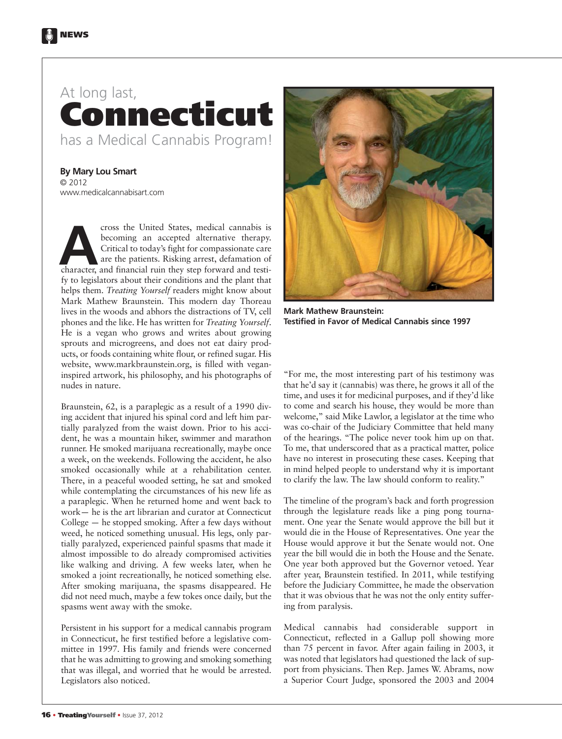## At long last, **Connecticut** has a Medical Cannabis Program!

**By Mary Lou Smart** © 2012 www.medicalcannabisart.com

cross the United States, medical cannabis is becoming an accepted alternative therapy. Critical to today's fight for compassionate care are the patients. Risking arrest, defamation of cross the United States, medical cannabis is<br>becoming an accepted alternative therapy.<br>Critical to today's fight for compassionate care<br>are the patients. Risking arrest, defamation of<br>character, and financial ruin they ste fy to legislators about their conditions and the plant that helps them. *Treating Yourself* readers might know about Mark Mathew Braunstein. This modern day Thoreau lives in the woods and abhors the distractions of TV, cell phones and the like. He has written for *Treating Yourself*. He is a vegan who grows and writes about growing sprouts and microgreens, and does not eat dairy products, or foods containing white flour, or refined sugar. His website, www.markbraunstein.org, is filled with veganinspired artwork, his philosophy, and his photographs of nudes in nature.

Braunstein, 62, is a paraplegic as a result of a 1990 diving accident that injured his spinal cord and left him partially paralyzed from the waist down. Prior to his accident, he was a mountain hiker, swimmer and marathon runner. He smoked marijuana recreationally, maybe once a week, on the weekends. Following the accident, he also smoked occasionally while at a rehabilitation center. There, in a peaceful wooded setting, he sat and smoked while contemplating the circumstances of his new life as a paraplegic. When he returned home and went back to work— he is the art librarian and curator at Connecticut College — he stopped smoking. After a few days without weed, he noticed something unusual. His legs, only partially paralyzed, experienced painful spasms that made it almost impossible to do already compromised activities like walking and driving. A few weeks later, when he smoked a joint recreationally, he noticed something else. After smoking marijuana, the spasms disappeared. He did not need much, maybe a few tokes once daily, but the spasms went away with the smoke.

Persistent in his support for a medical cannabis program in Connecticut, he first testified before a legislative committee in 1997. His family and friends were concerned that he was admitting to growing and smoking something that was illegal, and worried that he would be arrested. Legislators also noticed.



**Mark Mathew Braunstein: Testified in Favor of Medical Cannabis since 1997**

"For me, the most interesting part of his testimony was that he'd say it (cannabis) was there, he grows it all of the time, and uses it for medicinal purposes, and if they'd like to come and search his house, they would be more than welcome," said Mike Lawlor, a legislator at the time who was co-chair of the Judiciary Committee that held many of the hearings. "The police never took him up on that. To me, that underscored that as a practical matter, police have no interest in prosecuting these cases. Keeping that in mind helped people to understand why it is important to clarify the law. The law should conform to reality."

The timeline of the program's back and forth progression through the legislature reads like a ping pong tournament. One year the Senate would approve the bill but it would die in the House of Representatives. One year the House would approve it but the Senate would not. One year the bill would die in both the House and the Senate. One year both approved but the Governor vetoed. Year after year, Braunstein testified. In 2011, while testifying before the Judiciary Committee, he made the observation that it was obvious that he was not the only entity suffering from paralysis.

Medical cannabis had considerable support in Connecticut, reflected in a Gallup poll showing more than 75 percent in favor. After again failing in 2003, it was noted that legislators had questioned the lack of support from physicians. Then Rep. James W. Abrams, now a Superior Court Judge, sponsored the 2003 and 2004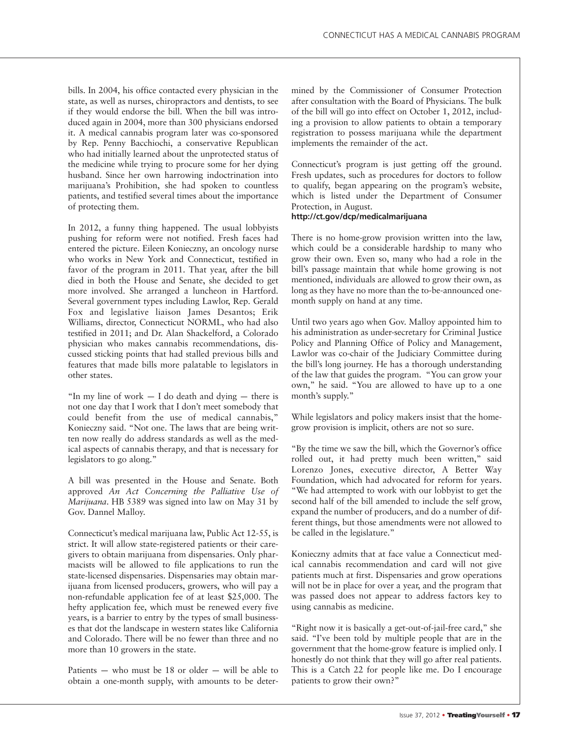bills. In 2004, his office contacted every physician in the state, as well as nurses, chiropractors and dentists, to see if they would endorse the bill. When the bill was introduced again in 2004, more than 300 physicians endorsed it. A medical cannabis program later was co-sponsored by Rep. Penny Bacchiochi, a conservative Republican who had initially learned about the unprotected status of the medicine while trying to procure some for her dying husband. Since her own harrowing indoctrination into marijuana's Prohibition, she had spoken to countless patients, and testified several times about the importance of protecting them.

In 2012, a funny thing happened. The usual lobbyists pushing for reform were not notified. Fresh faces had entered the picture. Eileen Konieczny, an oncology nurse who works in New York and Connecticut, testified in favor of the program in 2011. That year, after the bill died in both the House and Senate, she decided to get more involved. She arranged a luncheon in Hartford. Several government types including Lawlor, Rep. Gerald Fox and legislative liaison James Desantos; Erik Williams, director, Connecticut NORML, who had also testified in 2011; and Dr. Alan Shackelford, a Colorado physician who makes cannabis recommendations, discussed sticking points that had stalled previous bills and features that made bills more palatable to legislators in other states.

"In my line of work  $- I$  do death and dying  $-$  there is not one day that I work that I don't meet somebody that could benefit from the use of medical cannabis," Konieczny said. "Not one. The laws that are being written now really do address standards as well as the medical aspects of cannabis therapy, and that is necessary for legislators to go along."

A bill was presented in the House and Senate. Both approved *An Act Concerning the Palliative Use of Marijuana*. HB 5389 was signed into law on May 31 by Gov. Dannel Malloy.

Connecticut's medical marijuana law, Public Act 12-55, is strict. It will allow state-registered patients or their caregivers to obtain marijuana from dispensaries. Only pharmacists will be allowed to file applications to run the state-licensed dispensaries. Dispensaries may obtain marijuana from licensed producers, growers, who will pay a non-refundable application fee of at least \$25,000. The hefty application fee, which must be renewed every five years, is a barrier to entry by the types of small businesses that dot the landscape in western states like California and Colorado. There will be no fewer than three and no more than 10 growers in the state.

Patients — who must be 18 or older — will be able to obtain a one-month supply, with amounts to be determined by the Commissioner of Consumer Protection after consultation with the Board of Physicians. The bulk of the bill will go into effect on October 1, 2012, including a provision to allow patients to obtain a temporary registration to possess marijuana while the department implements the remainder of the act.

Connecticut's program is just getting off the ground. Fresh updates, such as procedures for doctors to follow to qualify, began appearing on the program's website, which is listed under the Department of Consumer Protection, in August.

## **http://ct.gov/dcp/medicalmarijuana**

There is no home-grow provision written into the law, which could be a considerable hardship to many who grow their own. Even so, many who had a role in the bill's passage maintain that while home growing is not mentioned, individuals are allowed to grow their own, as long as they have no more than the to-be-announced onemonth supply on hand at any time.

Until two years ago when Gov. Malloy appointed him to his administration as under-secretary for Criminal Justice Policy and Planning Office of Policy and Management, Lawlor was co-chair of the Judiciary Committee during the bill's long journey. He has a thorough understanding of the law that guides the program. "You can grow your own," he said. "You are allowed to have up to a one month's supply."

While legislators and policy makers insist that the homegrow provision is implicit, others are not so sure.

"By the time we saw the bill, which the Governor's office rolled out, it had pretty much been written," said Lorenzo Jones, executive director, A Better Way Foundation, which had advocated for reform for years. "We had attempted to work with our lobbyist to get the second half of the bill amended to include the self grow, expand the number of producers, and do a number of different things, but those amendments were not allowed to be called in the legislature."

Konieczny admits that at face value a Connecticut medical cannabis recommendation and card will not give patients much at first. Dispensaries and grow operations will not be in place for over a year, and the program that was passed does not appear to address factors key to using cannabis as medicine.

"Right now it is basically a get-out-of-jail-free card," she said. "I've been told by multiple people that are in the government that the home-grow feature is implied only. I honestly do not think that they will go after real patients. This is a Catch 22 for people like me. Do I encourage patients to grow their own?"